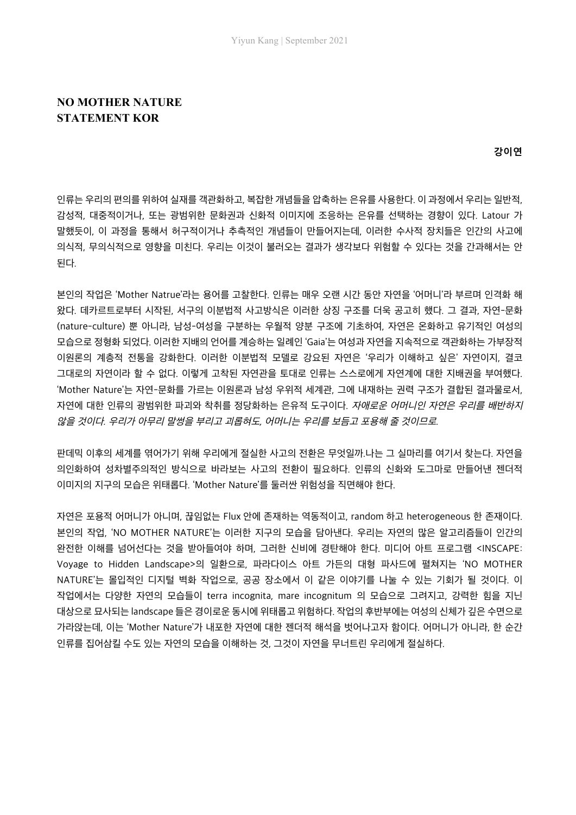## **NO MOTHER NATURE STATEMENT KOR**

**강이연**

인류는 우리의 편의를 위하여 실재를 객관화하고, 복잡한 개념들을 압축하는 은유를 사용한다. 이 과정에서 우리는 일반적, 감성적, 대중적이거나, 또는 광범위한 문화권과 신화적 이미지에 조응하는 은유를 선택하는 경향이 있다. Latour 가 말했듯이, 이 과정을 통해서 허구적이거나 추측적인 개념들이 만들어지는데, 이러한 수사적 장치들은 인간의 사고에 의식적, 무의식적으로 영향을 미친다. 우리는 이것이 불러오는 결과가 생각보다 위험할 수 있다는 것을 간과해서는 안 된다.

본인의 작업은 'Mother Natrue'라는 용어를 고찰한다. 인류는 매우 오랜 시간 동안 자연을 '어머니'라 부르며 인격화 해 왔다. 데카르트로부터 시작된, 서구의 이분법적 사고방식은 이러한 상징 구조를 더욱 공고히 했다. 그 결과, 자연-문화 (nature-culture) 뿐 아니라, 남성-여성을 구분하는 우월적 양분 구조에 기초하여, 자연은 온화하고 유기적인 여성의 모습으로 정형화 되었다. 이러한 지배의 언어를 계승하는 일례인 'Gaia'는 여성과 자연을 지속적으로 객관화하는 가부장적 이원론의 계층적 전통을 강화한다. 이러한 이분법적 모델로 강요된 자연은 '우리가 이해하고 싶은' 자연이지, 결코 그대로의 자연이라 할 수 없다. 이렇게 고착된 자연관을 토대로 인류는 스스로에게 자연계에 대한 지배권을 부여했다. 'Mother Nature'는 자연-문화를 가르는 이원론과 남성 우위적 세계관, 그에 내재하는 권력 구조가 결합된 결과물로서, 자연에 대한 인류의 광범위한 파괴와 착취를 정당화하는 은유적 도구이다. 자애로운 어머니인 자연은 우리를 배반하지 않을 것이다. 우리가 아무리 말썽을 부리고 괴롭혀도, 어머니는 우리를 보듬고 포용해 줄 것이므로.

판데믹 이후의 세계를 엮어가기 위해 우리에게 절실한 사고의 전환은 무엇일까.나는 그 실마리를 여기서 찾는다. 자연을 의인화하여 성차별주의적인 방식으로 바라보는 사고의 전환이 필요하다. 인류의 신화와 도그마로 만들어낸 젠더적 이미지의 지구의 모습은 위태롭다. 'Mother Nature'를 둘러싼 위험성을 직면해야 한다.

자연은 포용적 어머니가 아니며, 끊임없는 Flux 안에 존재하는 역동적이고, random 하고 heterogeneous 한 존재이다. 본인의 작업, 'NO MOTHER NATURE'는 이러한 지구의 모습을 담아낸다. 우리는 자연의 많은 알고리즘들이 인간의 완전한 이해를 넘어선다는 것을 받아들여야 하며, 그러한 신비에 경탄해야 한다. 미디어 아트 프로그램 <INSCAPE: Voyage to Hidden Landscape>의 일환으로, 파라다이스 아트 가든의 대형 파사드에 펼쳐지는 'NO MOTHER NATURE'는 몰입적인 디지털 벽화 작업으로, 공공 장소에서 이 같은 이야기를 나눌 수 있는 기회가 될 것이다. 이 작업에서는 다양한 자연의 모습들이 terra incognita, mare incognitum 의 모습으로 그려지고, 강력한 힘을 지닌 대상으로 묘사되는 landscape 들은 경이로운 동시에 위태롭고 위험하다. 작업의 후반부에는 여성의 신체가 깊은 수면으로 가라앉는데, 이는 'Mother Nature'가 내포한 자연에 대한 젠더적 해석을 벗어나고자 함이다. 어머니가 아니라, 한 순간 인류를 집어삼킬 수도 있는 자연의 모습을 이해하는 것, 그것이 자연을 무너트린 우리에게 절실하다.